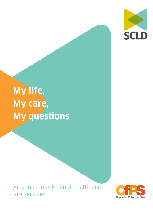

# **My life, My care, My questions**

Questions to ask about health and care services

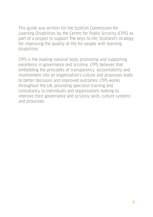This guide was written for the Scottish Commission for Learning Disabilities by the Centre for Public Scrutiny (CfPS) as part of a project to support The keys to life, Scotland's strategy for improving the quality of life for people with learning disabilities.

CfPS is the leading national body promoting and supporting excellence in governance and scrutiny. CfPS believes that embedding the principles of transparency, accountability and involvement into an organisation's culture and processes leads to better decisions and improved outcomes. CfPS works throughout the UK, providing specialist training and consultancy to individuals and organisations looking to improve their governance and scrutiny skills, culture systems and processes.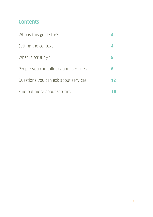# **Contents**

| Who is this guide for?                |    |
|---------------------------------------|----|
| Setting the context                   |    |
| What is scrutiny?                     |    |
| People you can talk to about services | 6  |
| Questions you can ask about services  | 12 |
| Find out more about scrutiny          |    |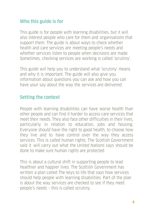## **Who this guide is for**

This guide is for people with learning disabilities, but it will also interest people who care for them and organisations that support them. The guide is about ways to check whether health and care services are meeting people's needs and whether services listen to people when decisions are made. Sometimes, checking services are working is called 'scrutiny'.

This guide will help you to understand what 'scrutiny' means and why it is important. The guide will also give you information about questions you can ask and how you can have your say about the way the services are delivered.

## **Setting the context**

People with learning disabilities can have worse health than other people and can find it harder to access care services that meet their needs. They also face other difficulties in their lives, particularly in relation to education, jobs and housing. Everyone should have the right to good health, to choose how they live and to have control over the way they access services. This is called human rights. The Scottish Government said it will carry out what the United Nations says should be done to make sure human rights are protected.

This is about a cultural shift in supporting people to lead healthier and happier lives. The Scottish Government has written a plan called The keys to life that says how services should help people with learning disabilities. Part of the plan is about the way services are checked to see if they meet people's needs – this is called scrutiny.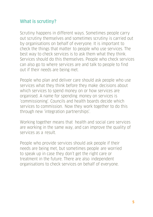## **What is scrutiny?**

Scrutiny happens in different ways. Sometimes people carry out scrutiny themselves and sometimes scrutiny is carried out by organisations on behalf of everyone. It is important to check the things that matter to people who use services. The best way to check services is to ask them what they think. Services should do this themselves. People who check services can also go to where services are and talk to people to find out if their needs are being met.

People who plan and deliver care should ask people who use services what they think before they make decisions about which services to spend money on or how services are organised. A name for spending money on services is 'commissioning'. Councils and health boards decide which services to commission. Now they work together to do this through new 'integration partnerships'.

Working together means that health and social care services are working in the same way, and can improve the quality of services as a result.

People who provide services should ask people if their needs are being met, but sometimes people are worried to speak up in case they don't get the right care or treatment in the future. There are also independent organisations to check services on behalf of everyone.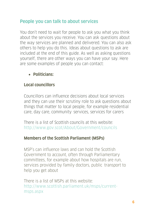## **People you can talk to about services**

You don't need to wait for people to ask you what you think about the services you receive. You can ask questions about the way services are planned and delivered. You can also ask others to help you do this. Ideas about questions to ask are included at the end of this guide. As well as asking questions yourself, there are other ways you can have your say. Here are some examples of people you can contact:

## • **Politicians:**

## **Local councillors**

Councillors can influence decisions about local services and they can use their scrutiny role to ask questions about things that matter to local people, for example residential care, day care, community services, services for carers

There is a list of Scottish councils at this website: <http://www.gov.scot/About/Government/councils>

## **Members of the Scottish Parliament (MSPs)**

MSP's can influence laws and can hold the Scottish Government to account, often through Parliamentary committees, for example about how hospitals are run, services provided by family doctors, public transport to help you get about

There is a list of MSPs at this website: [http://www.scottish.parliament.uk/msps/current](http://www.scottish.parliament.uk/msps/current-msps.aspx)[msps.aspx](http://www.scottish.parliament.uk/msps/current-msps.aspx)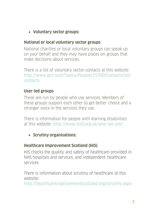• **Voluntary sector groups:**

#### **National or local voluntary sector groups**

National charities or local voluntary groups can speak up on your behalf and they may have places on groups that make decisions about services.

There is a list of voluntary sector contacts at this website: [http://www.gov.scot/Topics/People/15300/Contacts/Vol](http://www.gov.scot/Topics/People/15300/Contacts/Volcontacts) [contacts](http://www.gov.scot/Topics/People/15300/Contacts/Volcontacts)

#### **User-led groups**

These are run by people who use services. Members of these groups support each other to get better choice and a stronger voice in the services they use.

There is information for people with learning disabilities at this website: <http://www.scld.org.uk/who-we-are/>

#### • **Scrutiny organisations:**

#### **Healthcare Improvement Scotland (HIS)**

HIS checks the quality and safety of healthcare provided in NHS hospitals and services, and independent healthcare services

There is information about scrutiny of healthcare at this website:

<http://healthcareimprovementscotland.org/scrutiny.aspx>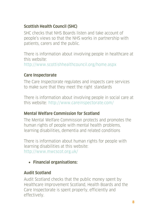## **Scottish Health Council (SHC)**

SHC checks that NHS Boards listen and take account of people's views so that the NHS works in partnership with patients, carers and the public.

There is information about involving people in healthcare at this website:

<http://www.scottishhealthcouncil.org/home.aspx>

## **Care Inspectorate**

The Care Inspectorate regulates and inspects care services to make sure that they meet the right standards

There is information about involving people in social care at this website: <http://www.careinspectorate.com/>

## **Mental Welfare Commission for Scotland**

The Mental Welfare Commission protects and promotes the human rights of people with mental health problems, learning disabilities, dementia and related conditions

There is information about human rights for people with learning disabilities at this website: <http://www.mwcscot.org.uk/>

• **Financial organisations:**

## **Audit Scotland**

Audit Scotland checks that the public money spent by Healthcare Improvement Scotland, Health Boards and the Care Inspectorate is spent properly, efficiently and effectively.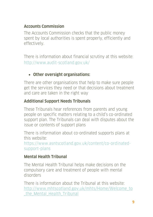## **Accounts Commission**

The Accounts Commission checks that the public money spent by local authorities is spent properly, efficiently and effectively.

There is information about financial scrutiny at this website: <http://www.audit-scotland.gov.uk/>

## • **Other oversight organisations:**

There are other organisations that help to make sure people get the services they need or that decisions about treatment and care are taken in the right way

## **Additional Support Needs Tribunals**

These Tribunals hear references from parents and young people on specific matters relating to a child's co-ordinated support plan. The Tribunals can deal with disputes about the issue or contents of support plans

There is information about co-ordinated supports plans at this website:

https://www.asntscotland.gov.uk/content/co-ordinatedsupport-plans

## **Mental Health Tribunal**

The Mental Health Tribunal helps make decisions on the compulsory care and treatment of people with mental disorders

There is information about the Tribunal at this website: [http://www.mhtscotland.gov.uk/mhts/Home/Welcome\\_to](http://www.mhtscotland.gov.uk/mhts/Home/Welcome_to_the_Mental_Health_Tribunal) the Mental Health Tribunal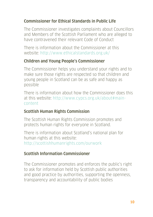## **Commissioner for Ethical Standards in Public Life**

The Commissioner investigates complaints about Councillors and Members of the Scottish Parliament who are alleged to have contravened their relevant Code of Conduct

There is information about the Commissioner at this website: http://www.ethicalstandards.org.uk/

#### **Children and Young People's Commissioner**

The Commissioner helps you understand your rights and to make sure those rights are respected so that children and young people in Scotland can be as safe and happy as possible

There is information about how the Commissioner does this at this website: http://www.cypcs.org.uk/about#maincontent

#### **Scottish Human Rights Commission**

The Scottish Human Rights Commission promotes and protects human rights for everyone in Scotland.

There is information about Scotland's national plan for human rights at this website: http://scottishhumanrights.com/ourwork

## **Scottish Information Commissioner**

The Commissioner promotes and enforces the public's right to ask for information held by Scottish public authorities and good practice by authorities, supporting the openness, transparency and accountability of public bodies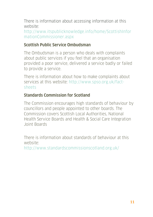There is information about accessing information at this website:

http://www.itspublicknowledge.info/home/ScottishInfor mationCommissioner.aspx

#### **Scottish Public Service Ombudsman**

The Ombudsman is a person who deals with complaints about public services if you feel that an organisation provided a poor service, delivered a service badly or failed to provide a service.

There is information about how to make complaints about services at this website: http://www.spso.org.uk/factsheets

#### **Standards Commission for Scotland**

The Commission encourages high standards of behaviour by councillors and people appointed to other boards. The Commission covers Scottish Local Authorities, National Health Service Boards and Health & Social Care Integration Joint Boards

There is information about standards of behaviour at this website:

http://www.standardscommissionscotland.org.uk/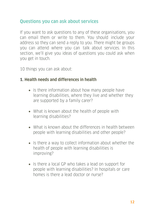## **Questions you can ask about services**

If you want to ask questions to any of these organisations, you can email them or write to them. You should include your address so they can send a reply to you. There might be groups you can attend where you can talk about services. In this section, we'll give you ideas of questions you could ask when you get in touch.

10 things you can ask about:

#### **1. Health needs and differences in health**

- Is there information about how many people have learning disabilities, where they live and whether they are supported by a family carer?
- What is known about the health of people with learning disabilities?
- What is known about the differences in health between people with learning disabilities and other people?
- Is there a way to collect information about whether the health of people with learning disabilities is improving?
- Is there a local GP who takes a lead on support for people with learning disabilities? In hospitals or care homes is there a lead doctor or nurse?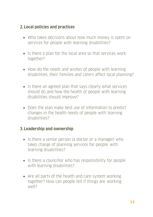## **2. Local policies and practices**

- Who takes decisions about how much money is spent on services for people with learning disabilities?
- Is there a plan for the local area so that services work together?
- How do the needs and wishes of people with learning disabilities, their families and carers affect local planning?
- Is there an agreed plan that says clearly what services should do and how the health of people with learning disabilities should improve?
- Does the plan make best use of information to predict changes in the health needs of people with learning disabilities?

#### **3. Leadership and ownership**

- Is there a senior person (a doctor or a manager) who takes charge of planning services for people with learning disabilities?
- Is there a councillor who has responsibility for people with learning disabilities?
- Are all parts of the health and care system working together? How can people tell if things are working well?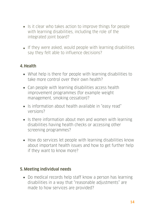- Is it clear who takes action to improve things for people with learning disabilities, including the role of the integrated joint board?
- If they were asked, would people with learning disabilities say they felt able to influence decisions?

## **4.Health**

- What help is there for people with learning disabilities to take more control over their own health?
- Can people with learning disabilities access health improvement programmes (for example weight management, smoking cessation)?
- Is information about health available in "easy read" versions?
- Is there information about men and women with learning disabilities having health checks or accessing other screening programmes?
- How do services let people with learning disabilities know about important health issues and how to get further help if they want to know more?

#### **5.Meeting individual needs**

• Do medical records help staff know a person has learning disabilities in a way that "reasonable adjustments" are made to how services are provided?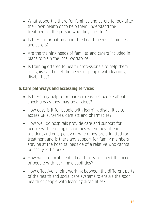- What support is there for families and carers to look after their own health or to help them understand the treatment of the person who they care for?
- Is there information about the health needs of families and carers?
- Are the training needs of families and carers included in plans to train the local workforce?
- Is training offered to health professionals to help them recognise and meet the needs of people with learning disabilities?

#### **6. Care pathways and accessing services**

- Is there any help to prepare or reassure people about check-ups as they may be anxious?
- How easy is it for people with learning disabilities to access GP surgeries, dentists and pharmacies?
- How well do hospitals provide care and support for people with learning disabilities when they attend accident and emergency or when they are admitted for treatment and is there any support for family members staying at the hospital bedside of a relative who cannot be easily left alone?
- How well do local mental health services meet the needs of people with learning disabilities?
- How effective is joint working between the different parts of the health and social care systems to ensure the good health of people with learning disabilities?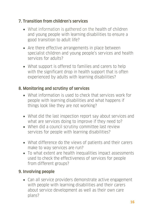## **7. Transition from children's services**

- What information is gathered on the health of children and young people with learning disabilities to ensure a good transition to adult life?
- Are there effective arrangements in place between specialist children and young people's services and health services for adults?
- What support is offered to families and carers to help with the significant drop in health support that is often experienced by adults with learning disabilities?

## **8. Monitoring and scrutiny of services**

- What information is used to check that services work for people with learning disabilities and what happens if things look like they are not working?
- What did the last inspection report say about services and what are services doing to improve if they need to?
- When did a council scrutiny committee last review services for people with learning disabilities?
- What difference do the views of patients and their carers make to way services are run?
- To what extent are health inequalities impact assessments used to check the effectiveness of services for people from different groups?

# **9. Involving people**

• Can all service providers demonstrate active engagement with people with learning disabilities and their carers about service development as well as their own care plans?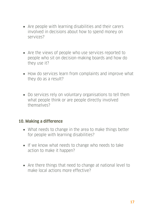- Are people with learning disabilities and their carers involved in decisions about how to spend money on services?
- Are the views of people who use services reported to people who sit on decision-making boards and how do they use it?
- How do services learn from complaints and improve what they do as a result?
- Do services rely on voluntary organisations to tell them what people think or are people directly involved themselves?

#### **10. Making a difference**

- What needs to change in the area to make things better for people with learning disabilities?
- If we know what needs to change who needs to take action to make it happen?
- Are there things that need to change at national level to make local actions more effective?